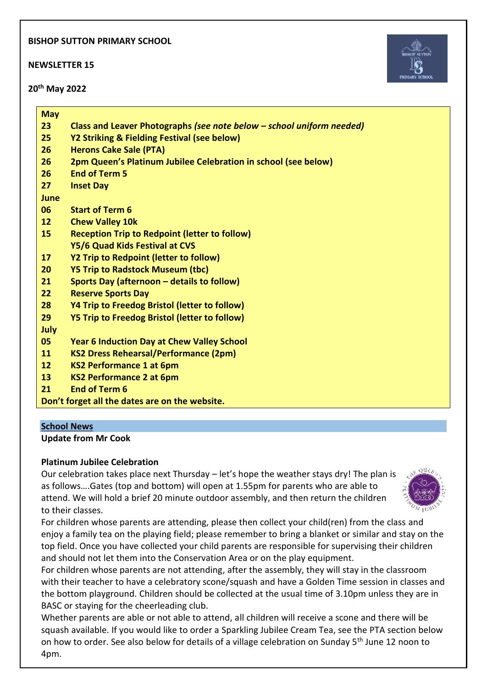## **BISHOP SUTTON PRIMARY SCHOOL**

**NEWSLETTER 15**

**20th May 2022**



| <b>May</b> |                                                                       |
|------------|-----------------------------------------------------------------------|
| 23         | Class and Leaver Photographs (see note below – school uniform needed) |
| 25         | Y2 Striking & Fielding Festival (see below)                           |
| 26         | <b>Herons Cake Sale (PTA)</b>                                         |
| 26         | 2pm Queen's Platinum Jubilee Celebration in school (see below)        |
| 26         | <b>End of Term 5</b>                                                  |
| 27         | <b>Inset Day</b>                                                      |
| June       |                                                                       |
| 06         | <b>Start of Term 6</b>                                                |
| 12         | <b>Chew Valley 10k</b>                                                |
| 15         | <b>Reception Trip to Redpoint (letter to follow)</b>                  |
|            | Y5/6 Quad Kids Festival at CVS                                        |
| 17         | Y2 Trip to Redpoint (letter to follow)                                |
| 20         | <b>Y5 Trip to Radstock Museum (tbc)</b>                               |
| 21         | Sports Day (afternoon - details to follow)                            |
| 22         | <b>Reserve Sports Day</b>                                             |
| 28         | Y4 Trip to Freedog Bristol (letter to follow)                         |
| 29         | <b>Y5 Trip to Freedog Bristol (letter to follow)</b>                  |
| July       |                                                                       |
| 05         | <b>Year 6 Induction Day at Chew Valley School</b>                     |
| 11         | <b>KS2 Dress Rehearsal/Performance (2pm)</b>                          |
| 12         | <b>KS2 Performance 1 at 6pm</b>                                       |
| 13         | <b>KS2 Performance 2 at 6pm</b>                                       |
| 21         | <b>End of Term 6</b>                                                  |
|            | Don't forget all the dates are on the website.                        |
|            |                                                                       |
|            | <b>School News</b>                                                    |

**Scl Update from Mr Cook**

# **Platinum Jubilee Celebration**

Our celebration takes place next Thursday – let's hope the weather stays dry! The plan is as follows….Gates (top and bottom) will open at 1.55pm for parents who are able to attend. We will hold a brief 20 minute outdoor assembly, and then return the children to their classes.



For children whose parents are attending, please then collect your child(ren) from the class and enjoy a family tea on the playing field; please remember to bring a blanket or similar and stay on the top field. Once you have collected your child parents are responsible for supervising their children and should not let them into the Conservation Area or on the play equipment.

For children whose parents are not attending, after the assembly, they will stay in the classroom with their teacher to have a celebratory scone/squash and have a Golden Time session in classes and the bottom playground. Children should be collected at the usual time of 3.10pm unless they are in BASC or staying for the cheerleading club.

Whether parents are able or not able to attend, all children will receive a scone and there will be squash available. If you would like to order a Sparkling Jubilee Cream Tea, see the PTA section below on how to order. See also below for details of a village celebration on Sunday 5<sup>th</sup> June 12 noon to 4pm.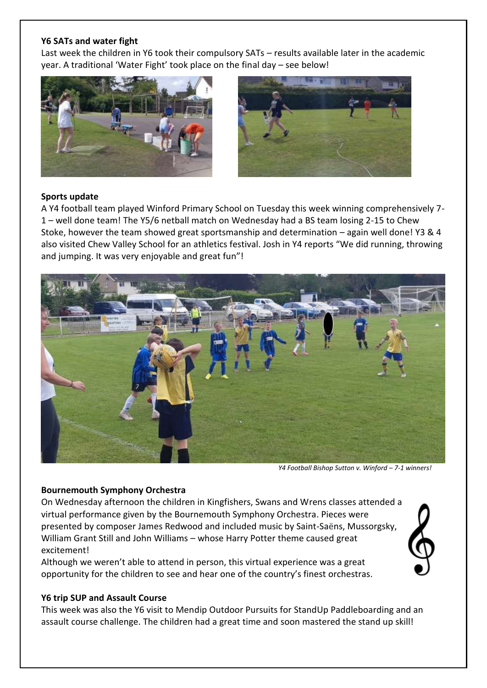### **Y6 SATs and water fight**

Last week the children in Y6 took their compulsory SATs – results available later in the academic year. A traditional 'Water Fight' took place on the final day – see below!





### **Sports update**

A Y4 football team played Winford Primary School on Tuesday this week winning comprehensively 7- 1 – well done team! The Y5/6 netball match on Wednesday had a BS team losing 2-15 to Chew Stoke, however the team showed great sportsmanship and determination – again well done! Y3 & 4 also visited Chew Valley School for an athletics festival. Josh in Y4 reports "We did running, throwing and jumping. It was very enjoyable and great fun"!



 *Y4 Football Bishop Sutton v. Winford – 7-1 winners!*

#### **Bournemouth Symphony Orchestra**

On Wednesday afternoon the children in Kingfishers, Swans and Wrens classes attended a virtual performance given by the Bournemouth Symphony Orchestra. Pieces were presented by composer James Redwood and included music by Saint-Saëns, Mussorgsky, William Grant Still and John Williams – whose Harry Potter theme caused great excitement!

Although we weren't able to attend in person, this virtual experience was a great opportunity for the children to see and hear one of the country's finest orchestras.

### **Y6 trip SUP and Assault Course**

This week was also the Y6 visit to Mendip Outdoor Pursuits for StandUp Paddleboarding and an assault course challenge. The children had a great time and soon mastered the stand up skill!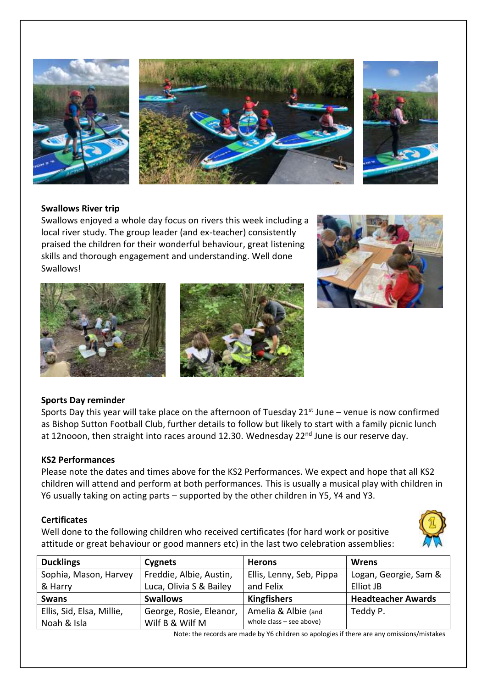

## **Swallows River trip**

Swallows enjoyed a whole day focus on rivers this week including a local river study. The group leader (and ex-teacher) consistently praised the children for their wonderful behaviour, great listening skills and thorough engagement and understanding. Well done Swallows!







# **Sports Day reminder**

Sports Day this year will take place on the afternoon of Tuesday  $21<sup>st</sup>$  June – venue is now confirmed as Bishop Sutton Football Club, further details to follow but likely to start with a family picnic lunch at 12nooon, then straight into races around 12.30. Wednesday 22<sup>nd</sup> June is our reserve day.

### **KS2 Performances**

Please note the dates and times above for the KS2 Performances. We expect and hope that all KS2 children will attend and perform at both performances. This is usually a musical play with children in Y6 usually taking on acting parts – supported by the other children in Y5, Y4 and Y3.

### **Certificates**

Well done to the following children who received certificates (for hard work or positive attitude or great behaviour or good manners etc) in the last two celebration assemblies:



| <b>Ducklings</b>          | Cygnets                 | <b>Herons</b>              | Wrens                     |
|---------------------------|-------------------------|----------------------------|---------------------------|
| Sophia, Mason, Harvey     | Freddie, Albie, Austin, | Ellis, Lenny, Seb, Pippa   | Logan, Georgie, Sam &     |
| & Harry                   | Luca, Olivia S & Bailey | and Felix                  | Elliot JB                 |
| <b>Swans</b>              | <b>Swallows</b>         | <b>Kingfishers</b>         | <b>Headteacher Awards</b> |
| Ellis, Sid, Elsa, Millie, | George, Rosie, Eleanor, | Amelia & Albie (and        | Teddy P.                  |
| Noah & Isla               | Wilf B & Wilf M         | whole class $-$ see above) |                           |

Note: the records are made by Y6 children so apologies if there are any omissions/mistakes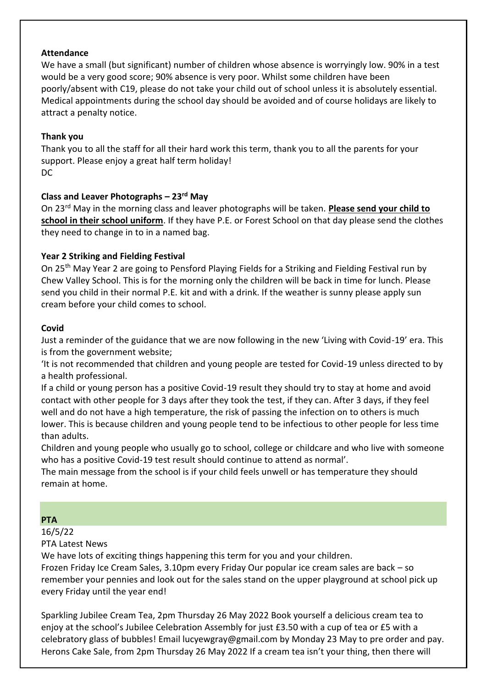## **Attendance**

We have a small (but significant) number of children whose absence is worryingly low. 90% in a test would be a very good score; 90% absence is very poor. Whilst some children have been poorly/absent with C19, please do not take your child out of school unless it is absolutely essential. Medical appointments during the school day should be avoided and of course holidays are likely to attract a penalty notice.

# **Thank you**

Thank you to all the staff for all their hard work this term, thank you to all the parents for your support. Please enjoy a great half term holiday! DC

# **Class and Leaver Photographs – 23rd May**

On 23rd May in the morning class and leaver photographs will be taken. **Please send your child to school in their school uniform**. If they have P.E. or Forest School on that day please send the clothes they need to change in to in a named bag.

## **Year 2 Striking and Fielding Festival**

On 25th May Year 2 are going to Pensford Playing Fields for a Striking and Fielding Festival run by Chew Valley School. This is for the morning only the children will be back in time for lunch. Please send you child in their normal P.E. kit and with a drink. If the weather is sunny please apply sun cream before your child comes to school.

### **Covid**

Just a reminder of the guidance that we are now following in the new 'Living with Covid-19' era. This is from the government website;

'It is not recommended that children and young people are tested for Covid-19 unless directed to by a health professional.

If a child or young person has a positive Covid-19 result they should try to stay at home and avoid contact with other people for 3 days after they took the test, if they can. After 3 days, if they feel well and do not have a high temperature, the risk of passing the infection on to others is much lower. This is because children and young people tend to be infectious to other people for less time than adults.

Children and young people who usually go to school, college or childcare and who live with someone who has a positive Covid-19 test result should continue to attend as normal'.

The main message from the school is if your child feels unwell or has temperature they should remain at home.

# **PTA**

16/5/22

PTA Latest News

We have lots of exciting things happening this term for you and your children.

Frozen Friday Ice Cream Sales, 3.10pm every Friday Our popular ice cream sales are back – so remember your pennies and look out for the sales stand on the upper playground at school pick up every Friday until the year end!

Sparkling Jubilee Cream Tea, 2pm Thursday 26 May 2022 Book yourself a delicious cream tea to enjoy at the school's Jubilee Celebration Assembly for just £3.50 with a cup of tea or £5 with a celebratory glass of bubbles! Email lucyewgray@gmail.com by Monday 23 May to pre order and pay. Herons Cake Sale, from 2pm Thursday 26 May 2022 If a cream tea isn't your thing, then there will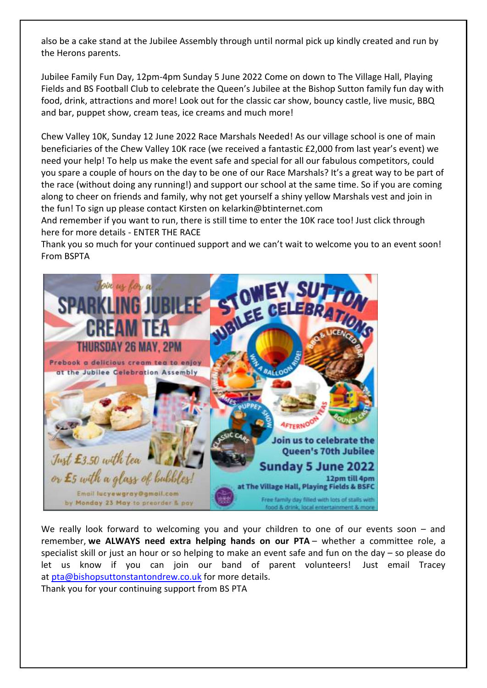also be a cake stand at the Jubilee Assembly through until normal pick up kindly created and run by the Herons parents.

Jubilee Family Fun Day, 12pm-4pm Sunday 5 June 2022 Come on down to The Village Hall, Playing Fields and BS Football Club to celebrate the Queen's Jubilee at the Bishop Sutton family fun day with food, drink, attractions and more! Look out for the classic car show, bouncy castle, live music, BBQ and bar, puppet show, cream teas, ice creams and much more!

Chew Valley 10K, Sunday 12 June 2022 Race Marshals Needed! As our village school is one of main beneficiaries of the Chew Valley 10K race (we received a fantastic £2,000 from last year's event) we need your help! To help us make the event safe and special for all our fabulous competitors, could you spare a couple of hours on the day to be one of our Race Marshals? It's a great way to be part of the race (without doing any running!) and support our school at the same time. So if you are coming along to cheer on friends and family, why not get yourself a shiny yellow Marshals vest and join in the fun! To sign up please contact Kirsten on kelarkin@btinternet.com

And remember if you want to run, there is still time to enter the 10K race too! Just click through here for more details - ENTER THE RACE

Thank you so much for your continued support and we can't wait to welcome you to an event soon! From BSPTA



We really look forward to welcoming you and your children to one of our events soon – and remember, **we ALWAYS need extra helping hands on our PTA** – whether a committee role, a specialist skill or just an hour or so helping to make an event safe and fun on the day – so please do let us know if you can join our band of parent volunteers! Just email Tracey at [pta@bishopsuttonstantondrew.co.uk](mailto:pta@bishopsuttonstantondrew.co.uk) for more details.

Thank you for your continuing support from BS PTA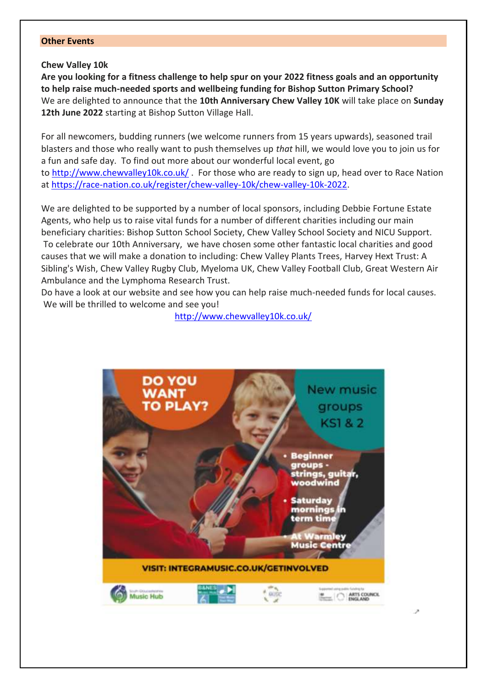#### **Other Events**

#### **Chew Valley 10k**

**Are you looking for a fitness challenge to help spur on your 2022 fitness goals and an opportunity to help raise much-needed sports and wellbeing funding for Bishop Sutton Primary School?**  We are delighted to announce that the **10th Anniversary Chew Valley 10K** will take place on **Sunday 12th June 2022** starting at Bishop Sutton Village Hall.

For all newcomers, budding runners (we welcome runners from 15 years upwards), seasoned trail blasters and those who really want to push themselves up *that* hill, we would love you to join us for a fun and safe day. To find out more about our wonderful local event, go to <http://www.chewvalley10k.co.uk/> . For those who are ready to sign up, head over to Race Nation at [https://race-nation.co.uk/register/chew-valley-10k/chew-valley-10k-2022.](https://race-nation.co.uk/register/chew-valley-10k/chew-valley-10k-2022)

We are delighted to be supported by a number of local sponsors, including Debbie Fortune Estate Agents, who help us to raise vital funds for a number of different charities including our main beneficiary charities: Bishop Sutton School Society, Chew Valley School Society and NICU Support. To celebrate our 10th Anniversary, we have chosen some other fantastic local charities and good causes that we will make a donation to including: Chew Valley Plants Trees, Harvey Hext Trust: A Sibling's Wish, Chew Valley Rugby Club, Myeloma UK, Chew Valley Football Club, Great Western Air Ambulance and the Lymphoma Research Trust.

Do have a look at our website and see how you can help raise much-needed funds for local causes. We will be thrilled to welcome and see you!

<http://www.chewvalley10k.co.uk/>

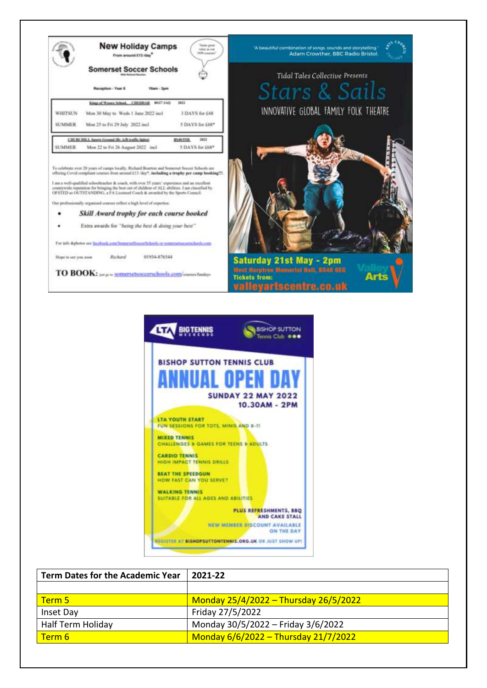



| <b>Term Dates for the Academic Year</b> | 2021-22                               |
|-----------------------------------------|---------------------------------------|
|                                         |                                       |
| Term 5                                  | Monday 25/4/2022 - Thursday 26/5/2022 |
| Inset Day                               | Friday 27/5/2022                      |
| Half Term Holiday                       | Monday 30/5/2022 - Friday 3/6/2022    |
| Term 6                                  | Monday 6/6/2022 - Thursday 21/7/2022  |